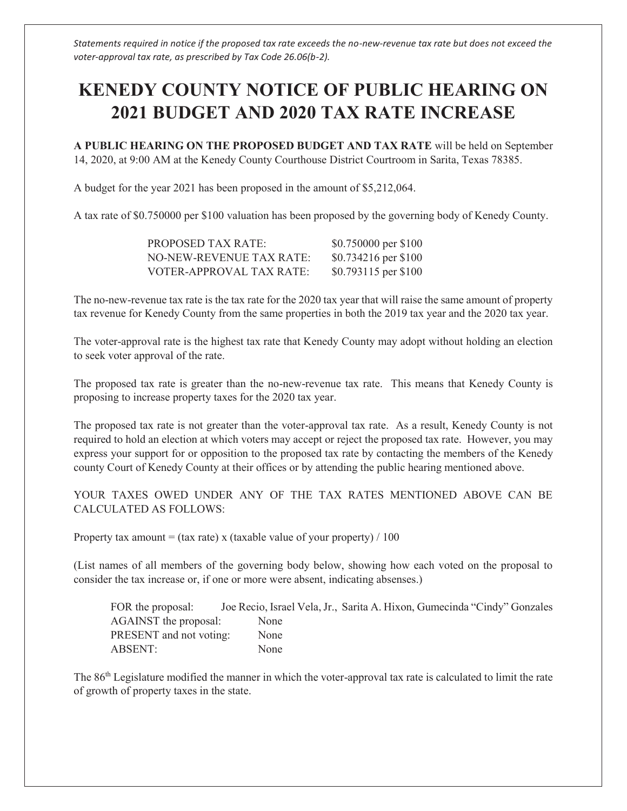*Statements required in notice if the proposed tax rate exceeds the no-new-revenue tax rate but does not exceed the voter-approval tax rate, as prescribed by Tax Code 26.06(b-2).* 

## **KENEDY COUNTY NOTICE OF PUBLIC HEARING ON 2021 BUDGET AND 2020 TAX RATE INCREASE**

**A PUBLIC HEARING ON THE PROPOSED BUDGET AND TAX RATE** will be held on September 14, 2020, at 9:00 AM at the Kenedy County Courthouse District Courtroom in Sarita, Texas 78385.

A budget for the year 2021 has been proposed in the amount of \$5,212,064.

A tax rate of \$0.750000 per \$100 valuation has been proposed by the governing body of Kenedy County.

| <b>PROPOSED TAX RATE:</b> | \$0.750000 per \$100  |
|---------------------------|-----------------------|
| NO-NEW-REVENUE TAX RATE:  | \$0.734216 per \$100  |
| VOTER-APPROVAL TAX RATE:  | $$0.793115$ per \$100 |

The no-new-revenue tax rate is the tax rate for the 2020 tax year that will raise the same amount of property tax revenue for Kenedy County from the same properties in both the 2019 tax year and the 2020 tax year.

The voter-approval rate is the highest tax rate that Kenedy County may adopt without holding an election to seek voter approval of the rate.

The proposed tax rate is greater than the no-new-revenue tax rate. This means that Kenedy County is proposing to increase property taxes for the 2020 tax year.

The proposed tax rate is not greater than the voter-approval tax rate. As a result, Kenedy County is not required to hold an election at which voters may accept or reject the proposed tax rate. However, you may express your support for or opposition to the proposed tax rate by contacting the members of the Kenedy county Court of Kenedy County at their offices or by attending the public hearing mentioned above.

YOUR TAXES OWED UNDER ANY OF THE TAX RATES MENTIONED ABOVE CAN BE CALCULATED AS FOLLOWS:

Property tax amount = (tax rate) x (taxable value of your property) / 100

(List names of all members of the governing body below, showing how each voted on the proposal to consider the tax increase or, if one or more were absent, indicating absenses.)

FOR the proposal: Joe Recio, Israel Vela, Jr., Sarita A. Hixon, Gumecinda "Cindy" Gonzales AGAINST the proposal: None PRESENT and not voting: None ABSENT: None

The 86th Legislature modified the manner in which the voter-approval tax rate is calculated to limit the rate of growth of property taxes in the state.